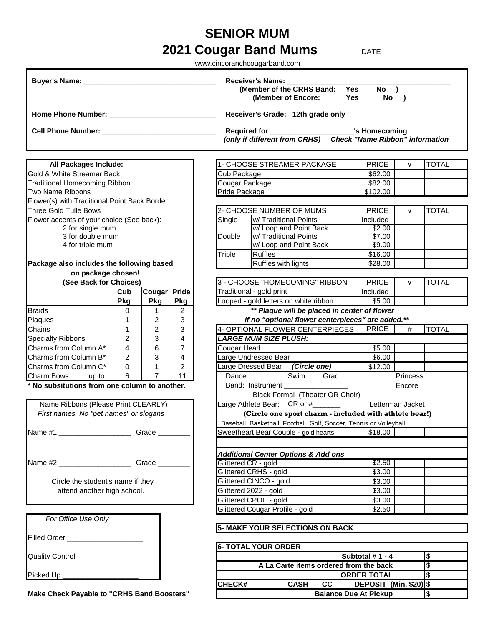## **2021 Cougar Band Mums** DATE **SENIOR MUM**

|                                                                               |     |                |                |                | www.cincoranchcougarband.com                                                                                              |                               |                  |               |
|-------------------------------------------------------------------------------|-----|----------------|----------------|----------------|---------------------------------------------------------------------------------------------------------------------------|-------------------------------|------------------|---------------|
|                                                                               |     |                |                |                | Receiver's Name: ________<br>(Member of the CRHS Band: Yes<br>(Member of Encore:                                          | $No$ )<br>Yes<br>No )         |                  |               |
|                                                                               |     |                |                |                | Receiver's Grade: 12th grade only                                                                                         |                               |                  |               |
|                                                                               |     |                |                |                |                                                                                                                           |                               |                  |               |
| Cell Phone Number: ______________________________                             |     |                |                |                | Required for ______________________________'s Homecoming<br>(only if different from CRHS) Check "Name Ribbon" information |                               |                  |               |
| All Packages Include:                                                         |     |                |                |                | 1- CHOOSE STREAMER PACKAGE                                                                                                | <b>PRICE</b>                  | $\sqrt{ }$       | <b>TOTAL</b>  |
| Gold & White Streamer Back                                                    |     |                |                | Cub Package    |                                                                                                                           | \$62.00                       |                  |               |
| <b>Traditional Homecoming Ribbon</b>                                          |     |                |                | Cougar Package |                                                                                                                           | \$82.00                       |                  |               |
| Two Name Ribbons                                                              |     |                |                | Pride Package  |                                                                                                                           | \$102.00                      |                  |               |
| Flower(s) with Traditional Point Back Border                                  |     |                |                |                |                                                                                                                           |                               |                  |               |
| <b>Three Gold Tulle Bows</b>                                                  |     |                |                |                | 2- CHOOSE NUMBER OF MUMS                                                                                                  | <b>PRICE</b>                  | $\sqrt{ }$       | <b>TOTAL</b>  |
| Flower accents of your choice (See back):                                     |     |                |                | Single         | w/ Traditional Points                                                                                                     | Included                      |                  |               |
| 2 for single mum<br>3 for double mum                                          |     |                |                | <b>Double</b>  | w/ Loop and Point Back<br>w/ Traditional Points                                                                           | \$2.00<br>\$7.00              |                  |               |
| 4 for triple mum                                                              |     |                |                |                | w/ Loop and Point Back                                                                                                    | \$9.00                        |                  |               |
|                                                                               |     |                |                | Triple         | <b>Ruffles</b>                                                                                                            | \$16.00                       |                  |               |
| Package also includes the following based                                     |     |                |                |                | Ruffles with lights                                                                                                       | \$28.00                       |                  |               |
| on package chosen!                                                            |     |                |                |                |                                                                                                                           |                               |                  |               |
| (See Back for Choices)                                                        |     |                |                |                | 3 - CHOOSE "HOMECOMING" RIBBON                                                                                            | <b>PRICE</b>                  | $\sqrt{ }$       | <b>TOTAL</b>  |
|                                                                               | Cub | Cougar Pride   |                |                | Traditional - gold print                                                                                                  | Included                      |                  |               |
|                                                                               | Pkg | Pkg            | <b>Pkg</b>     |                | Looped - gold letters on white ribbon                                                                                     | \$5.00                        |                  |               |
| <b>Braids</b>                                                                 | 0   | 1.             | $\overline{2}$ |                | ** Plaque will be placed in center of flower                                                                              |                               |                  |               |
| Plaques                                                                       | 1   | 2              | 3              |                | if no "optional flower centerpieces" are added.**                                                                         |                               |                  |               |
| Chains                                                                        | 1   | 2              | 3              |                | 4- OPTIONAL FLOWER CENTERPIECES                                                                                           | <b>PRICE</b>                  | #                | <b>TOTAL</b>  |
| <b>Specialty Ribbons</b>                                                      | 2   | 3              | 4              |                | <b>LARGE MUM SIZE PLUSH:</b>                                                                                              |                               |                  |               |
| Charms from Column A*                                                         | 4   | 6              | 7              | Cougar Head    |                                                                                                                           | \$5.00                        |                  |               |
| Charms from Column B*                                                         | 2   | 3              | 4              |                | Large Undressed Bear                                                                                                      | \$6.00                        |                  |               |
| Charms from Column C*                                                         | 0   | $\mathbf{1}$   | 2              |                | Large Dressed Bear (Circle one)                                                                                           | \$12.00                       |                  |               |
| Charm Bows<br>up to                                                           | 6   | $\overline{7}$ | 11             | Dance          | Swim<br>Grad                                                                                                              |                               | Princess         |               |
| * No subsitutions from one column to another.                                 |     |                |                |                | Band: Instrument _______________<br>Black Formal (Theater OR Choir)                                                       |                               | Encore           |               |
| Name Ribbons (Please Print CLEARLY)<br>First names. No "pet names" or slogans |     |                |                |                | Large Athlete Bear: CR or #______<br>(Circle one sport charm - included with athlete bear!)                               |                               | Letterman Jacket |               |
|                                                                               |     |                |                |                | Baseball, Basketball, Football, Golf, Soccer, Tennis or Volleyball                                                        |                               |                  |               |
| Name #1 _________________________Grade ______                                 |     |                |                |                | Sweetheart Bear Couple - gold hearts                                                                                      | \$18.00                       |                  |               |
|                                                                               |     |                |                |                |                                                                                                                           |                               |                  |               |
|                                                                               |     |                |                |                | <b>Additional Center Options &amp; Add ons</b>                                                                            |                               |                  |               |
|                                                                               |     |                |                |                | Glittered CR - gold                                                                                                       | \$2.50                        |                  |               |
|                                                                               |     |                |                |                | Glittered CRHS - gold                                                                                                     | \$3.00                        |                  |               |
| Circle the student's name if they                                             |     |                |                |                | Glittered CINCO - gold                                                                                                    | \$3.00                        |                  |               |
| attend another high school.                                                   |     |                |                |                | Glittered 2022 - gold                                                                                                     | \$3.00                        |                  |               |
|                                                                               |     |                |                |                | Glittered CPOE - gold                                                                                                     | \$3.00                        |                  |               |
|                                                                               |     |                |                |                | Glittered Cougar Profile - gold                                                                                           | \$2.50                        |                  |               |
| For Office Use Only                                                           |     |                |                |                |                                                                                                                           |                               |                  |               |
|                                                                               |     |                |                |                | 5- MAKE YOUR SELECTIONS ON BACK                                                                                           |                               |                  |               |
| Filled Order _____________________                                            |     |                |                |                |                                                                                                                           |                               |                  |               |
|                                                                               |     |                |                |                | <b>6- TOTAL YOUR ORDER</b>                                                                                                |                               |                  |               |
| Quality Control ________________                                              |     |                |                |                |                                                                                                                           | Subtotal #1 - 4               |                  | $\frac{3}{2}$ |
|                                                                               |     |                |                |                | A La Carte items ordered from the back                                                                                    |                               |                  | l\$           |
| Picked Up __                                                                  |     |                |                |                |                                                                                                                           | <b>ORDER TOTAL</b>            |                  | 1\$           |
|                                                                               |     |                |                | CHECK#         | <b>CASH</b><br>cc                                                                                                         | <b>DEPOSIT (Min. \$20) \$</b> |                  |               |
| <b>Make Check Payable to "CRHS Band Boosters"</b>                             |     |                |                |                |                                                                                                                           | <b>Balance Due At Pickup</b>  |                  | $\sqrt{3}$    |